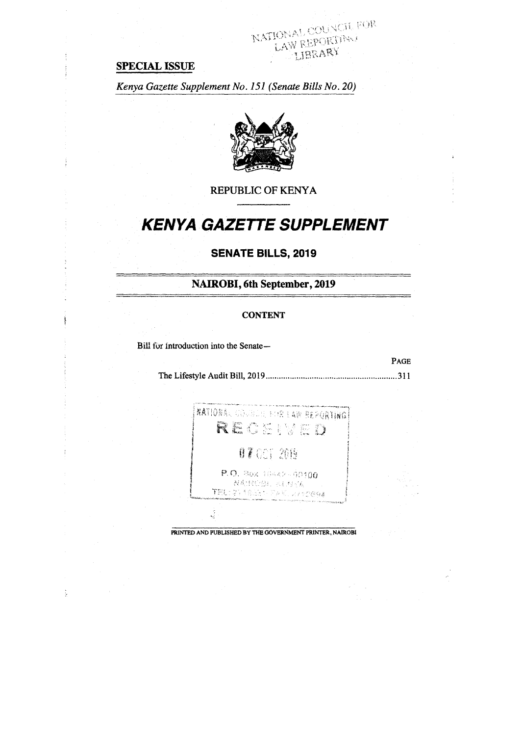## **SPECIAL ISSUE**

*Kenya Gazette Supplement No. 151 (Senate Bills No. 20)* 



NATIONAL COUNCIL FOR LIBRARY

REPUBLIC OF KENYA

# **KENYA GAZETTE SUPPLEMENT**

## **SENATE BILLS, 2019**

**NAIROBI, 6th September, 2019** 

#### **CONTENT**

Bill for introduction into the Senate-

ţ.

The Lifestyle Audit Bill, 2019 311

PAGE



PRINTED AND PUBLISHED BY THE GOVERNMENT PRINTER, NAIROBI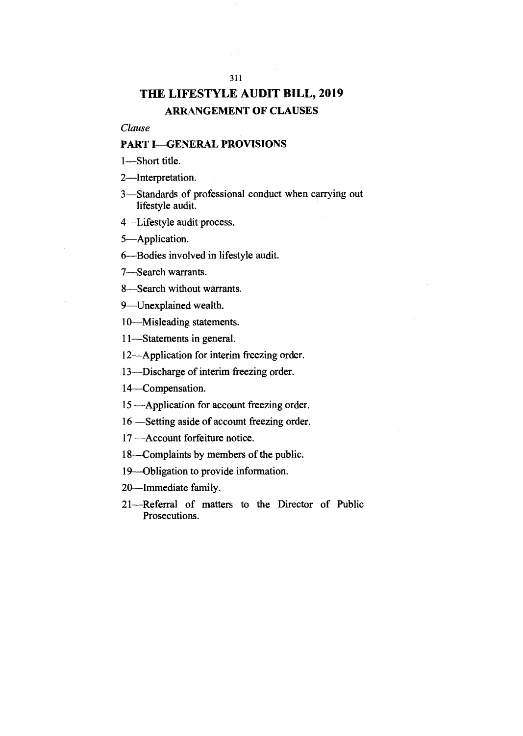## **THE LIFESTYLE AUDIT BILL, 2019 ARRANGEMENT OF CLAUSES**

311

*Clause* 

#### **PART I—GENERAL PROVISIONS**

1—Short title.

2—Interpretation.

3—Standards of professional conduct when carrying out lifestyle audit.

4—Lifestyle audit process.

5—Application.

6—Bodies involved in lifestyle audit.

7—Search warrants.

8—Search without warrants.

9—Unexplained wealth.

10—Misleading statements.

11—Statements in general.

12—Application for interim freezing order.

13—Discharge of interim freezing order.

14-Compensation.

15 —Application for account freezing order.

16 —Setting aside of account freezing order.

17 —Account forfeiture notice.

18—Complaints by members of the public.

19—Obligation to provide information.

20—Immediate family.

21—Referral of matters to the Director of Public Prosecutions.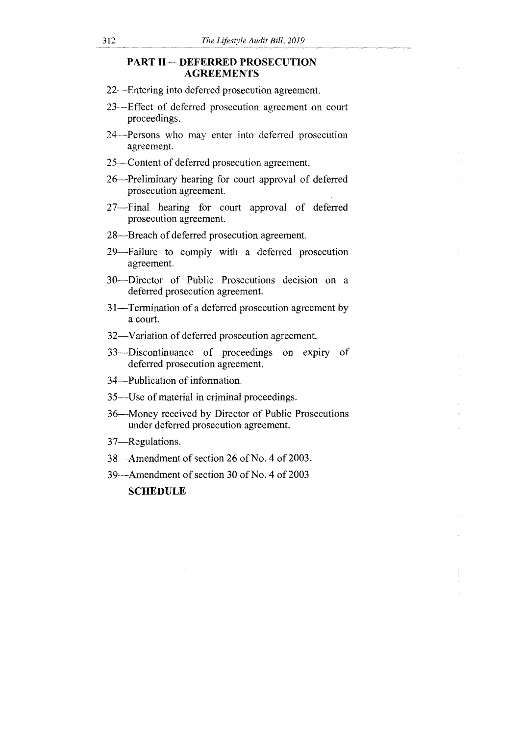#### PART II— DEFERRED PROSECUTION AGREEMENTS

- 22—Entering into deferred prosecution agreement.
- 23—Effect of deferred prosecution agreement on court proceedings.
- 24-Persons who may enter into deferred prosecution agreement.
- 25—Content of deferred prosecution agreement.
- 26—Preliminary hearing for court approval of deferred prosecution agreement.
- 27—Final hearing for court approval of deferred prosecution agreement.
- 28—Breach of deferred prosecution agreement.
- 29—Failure to comply with a deferred prosecution agreement.
- 30—Director of Public Prosecutions decision on a deferred prosecution agreement.
- 31—Termination of a deferred prosecution agreement by a court.
- 32—Variation of deferred prosecution agreement.
- 33—Discontinuance of proceedings on expiry of deferred prosecution agreement.
- 34—Publication of information.
- 35—Use of material in criminal proceedings.
- 36—Money received by Director of Public Prosecutions under deferred prosecution agreement.
- 37—Regulations.
- 38—Amendment of section 26 of No. 4 of 2003.
- 39--Amendment of section 30 of No. 4 of 2003

SCHEDULE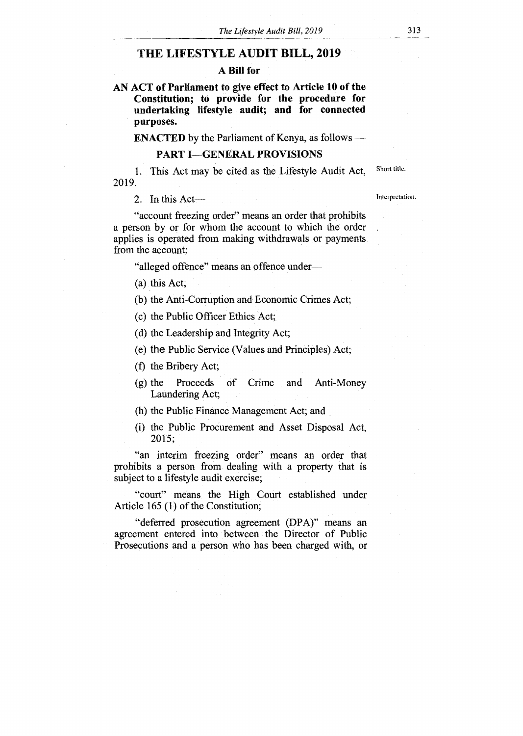#### **THE LIFESTYLE AUDIT BILL, 2019**

#### **A Bill for**

**AN ACT of Parliament to give effect to Article 10 of the Constitution; to provide for the procedure for undertaking lifestyle audit; and for connected purposes.** 

**ENACTED** by the Parliament of Kenya, as follows **—** 

#### **PART I—GENERAL PROVISIONS**

1. This Act may be cited as the Lifestyle Audit Act, Short title. 2019.

2. In this Act—

Interpretation.

"account freezing order" means an order that prohibits a person by or for whom the account to which the order applies is operated from making withdrawals or payments from the account;

"alleged offence" means an offence under—

(a) this Act;

(b) the Anti-Corruption and Economic Crimes Act;

(c) the Public Officer Ethics Act;

(d) the Leadership and Integrity Act;

(e) the Public Service (Values and Principles) Act;

(f) the Bribery Act;

(g) the Proceeds of Crime and Anti-Money Laundering Act;

(h) the Public Finance Management Act; and

(i) the Public Procurement and Asset Disposal Act, 2015;

"an interim freezing order" means an order that prohibits a person from dealing with a property that is subject to a lifestyle audit exercise;

"court" means the High Court established under Article 165 (1) of the Constitution;

"deferred prosecution agreement (DPA)" means an agreement entered into between the Director of Public Prosecutions and a person who has been charged with, or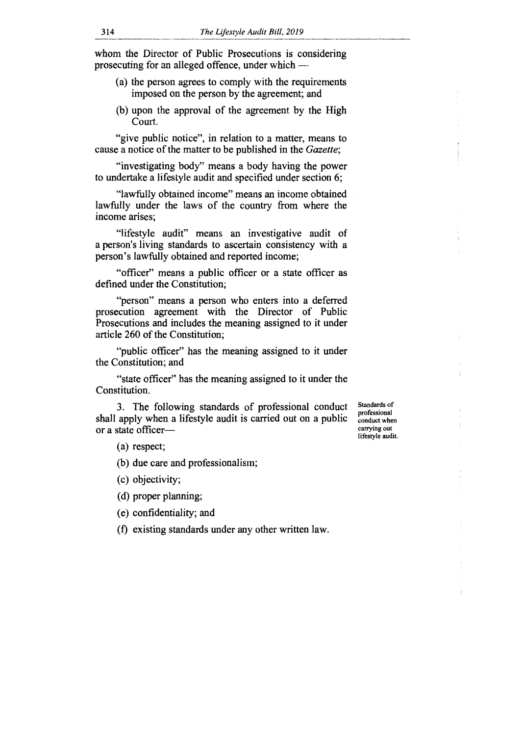whom the Director of Public Prosecutions is considering prosecuting for an alleged offence, under which —

- (a) the person agrees to comply with the requirements imposed on the person by the agreement; and
- (b) upon the approval of the agreement by the High Court.

"give public notice", in relation to a matter, means to cause a notice of the matter to be published in the *Gazette;* 

"investigating body" means a body having the power to undertake a lifestyle audit and specified under section 6;

"lawfully obtained income" means an income obtained lawfully under the laws of the country from where the income arises;

"lifestyle audit" means an investigative audit of a person's living standards to ascertain consistency with a person's lawfully obtained and reported income;

"officer" means a public officer or a state officer as defined under the Constitution;

"person" means a person who enters into a deferred prosecution agreement with the Director of Public Prosecutions and includes the meaning assigned to it under article 260 of the Constitution;

"public officer" has the meaning assigned to it under the Constitution; and

"state officer" has the meaning assigned to it under the Constitution.

3. The following standards of professional conduct shall apply when a lifestyle audit is carried out on a public or a state officer—

Standards of professional conduct when carrying out lifestyle audit.

(a) respect;

(b) due care and professionalism;

(c) objectivity;

(d) proper planning;

(e) confidentiality; and

(f) existing standards under any other written law.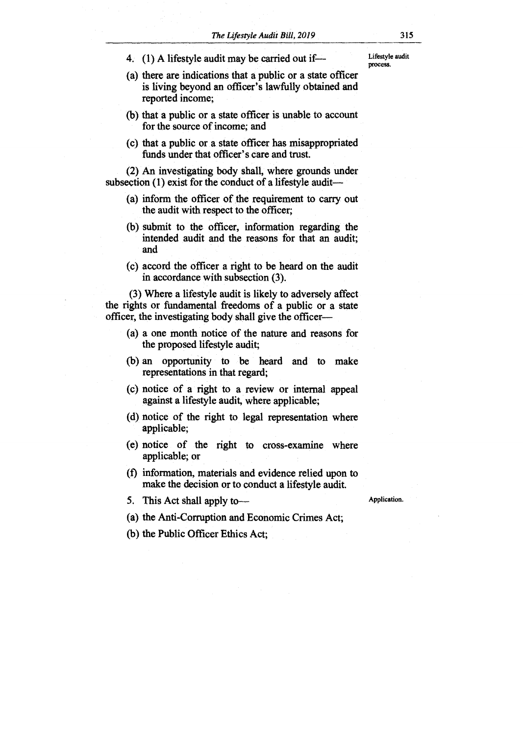- 4. (1) A lifestyle audit may be carried out if—
- (a) there are indications that a public or a state officer is living beyond an officer's lawfully obtained and reported income;
- (b) that a public or a state officer is unable to account for the source of income; and
- (c) that a public or a state officer has misappropriated funds under that officer's care and trust.

(2) An investigating body shall, where grounds under subsection (1) exist for the conduct of a lifestyle audit—

- (a) inform the officer of the requirement to carry out the audit with respect to the officer;
- (b) submit to the officer, information regarding the intended audit and the reasons for that an audit; and
- (c) accord the officer a right to be heard on the audit in accordance with subsection (3).

(3) Where a lifestyle audit is likely to adversely affect the rights or fundamental freedoms of a public or a state officer, the investigating body shall give the officer—

- (a) a one month notice of the nature and reasons for the proposed lifestyle audit;
- (b) an opportunity to be heard and to make representations in that regard;
- (c) notice of a right to a review or internal appeal against a lifestyle audit, where applicable;
- (d) notice of the right to legal representation where applicable;
- (e) notice of the right to cross-examine where applicable; or
- (f) information, materials and evidence relied upon to make the decision or to conduct a lifestyle audit.

5. This Act shall apply to—

Application.

- (a) the Anti-Corruption and Economic Crimes Act;
- (b) the Public Officer Ethics Act;

Lifestyle audit process.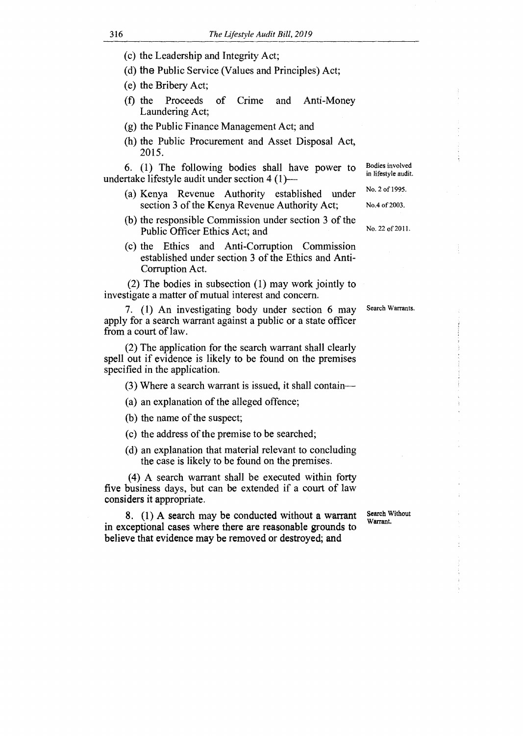- (c) the Leadership and Integrity Act;
- (d) the Public Service (Values and Principles) Act;
- (e) the Bribery Act;
- (f) the Proceeds of Crime and Anti-Money Laundering Act;
- (g) the Public Finance Management Act; and
- (h) the Public Procurement and Asset Disposal Act, 2015.

6. (1) The following bodies shall have power to undertake lifestyle audit under section 4 (1)—

- (a) Kenya Revenue Authority established under section 3 of the Kenya Revenue Authority Act;
- (b) the responsible Commission under section 3 of the Public Officer Ethics Act; and
- (c) the Ethics and Anti-Corruption Commission established under section 3 of the Ethics and Anti-Corruption Act.

(2) The bodies in subsection (1) may work jointly to investigate a matter of mutual interest and concern.

7. (1) An investigating body under section 6 may apply for a search warrant against a public or a state officer from a court of law.

(2) The application for the search warrant shall clearly spell out if evidence is likely to be found on the premises specified in the application.

(3) Where a search warrant is issued, it shall contain—

- (a) an explanation of the alleged offence;
- (b) the name of the suspect;
- (c) the address of the premise to be searched;
- (d) an explanation that material relevant to concluding the case is likely to be found on the premises.

(4) A search warrant shall be executed within forty five business days, but can be extended if a court of law considers it appropriate.

8. (1) A search may be conducted without a warrant in exceptional cases where there are reasonable grounds to believe that evidence may be removed or destroyed; and

Search Without Warrant.

Search Warrants.

No.4 of 2003. No. 22 of 2011.

Bodies involved in lifestyle audit. No. 2 of 1995.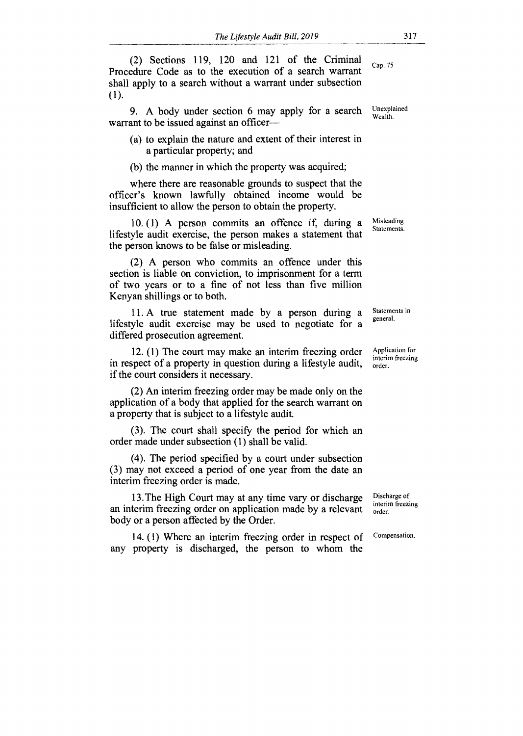(2) Sections 119, 120 and 121 of the Criminal Procedure Code as to the execution of a search warrant shall apply to a search without a warrant under subsection (1). Cap. 75

9. A body under section 6 may apply for a search warrant to be issued against an officer—

(a) to explain the nature and extent of their interest in a particular property; and

(b) the manner in which the property was acquired;

where there are reasonable grounds to suspect that the officer's known lawfully obtained income would be insufficient to allow the person to obtain the property.

10. (1) A person commits an offence if, during a lifestyle audit exercise, the person makes a statement that the person knows to be false or misleading.

(2) A person who commits an offence under this section is liable on conviction, to imprisonment for a term of two years or to a fine of not less than five million Kenyan shillings or to both.

11. A true statement made by a person during a lifestyle audit exercise may be used to negotiate for a differed prosecution agreement.

12. (1) The court may make an interim freezing order in respect of a property in question during a lifestyle audit, if the court considers it necessary.

(2) An interim freezing order may be made only on the application of a body that applied for the search warrant on a property that is subject to a lifestyle audit.

(3). The court shall specify the period for which an order made under subsection (1) shall be valid.

(4). The period specified by a court under subsection (3) may not exceed a period of one year from the date an interim freezing order is made.

13. The High Court may at any time vary or discharge an interim freezing order on application made by a relevant body or a person affected by the Order.

14. (1) Where an interim freezing order in respect of any property is discharged, the person to whom the

Application for interim freezing

order.

Statements in general.

Discharge of interim freezing order.

Compensation.

Unexplained Wealth.

Misleading Statements.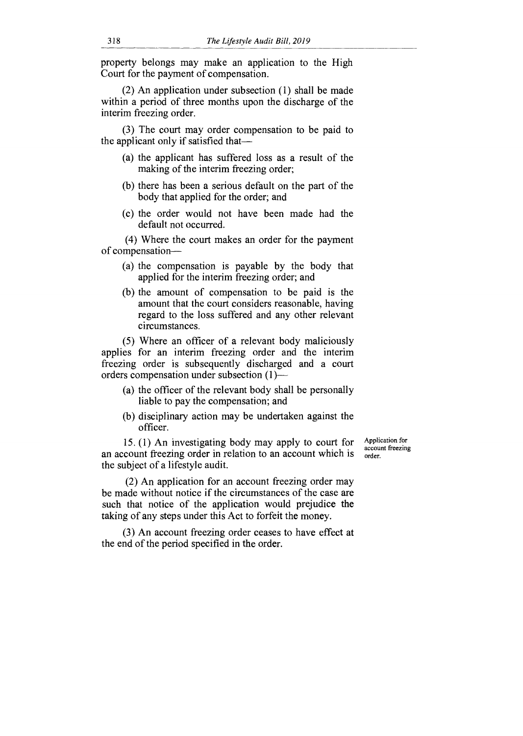property belongs may make an application to the High Court for the payment of compensation.

(2) An application under subsection (1) shall be made within a period of three months upon the discharge of the interim freezing order.

(3) The court may order compensation to be paid to the applicant only if satisfied that—

- (a) the applicant has suffered loss as a result of the making of the interim freezing order;
- (b) there has been a serious default on the part of the body that applied for the order; and
- (c) the order would not have been made had the default not occurred.

(4) Where the court makes an order for the payment of compensation—

- (a) the compensation is payable by the body that applied for the interim freezing order; and
- (b) the amount of compensation to be paid is the amount that the court considers reasonable, having regard to the loss suffered and any other relevant circumstances.

(5) Where an officer of a relevant body maliciously applies for an interim freezing order and the interim freezing order is subsequently discharged and a court orders compensation under subsection (1)—

- (a) the officer of the relevant body shall be personally liable to pay the compensation; and
- (b) disciplinary action may be undertaken against the officer.

15. (1) An investigating body may apply to court for an account freezing order in relation to an account which is the subject of a lifestyle audit.

(2) An application for an account freezing order may be made without notice if the circumstances of the case are such that notice of the application would prejudice the taking of any steps under this Act to forfeit the money.

(3) An account freezing order ceases to have effect at the end of the period specified in the order.

Application for account freezing order.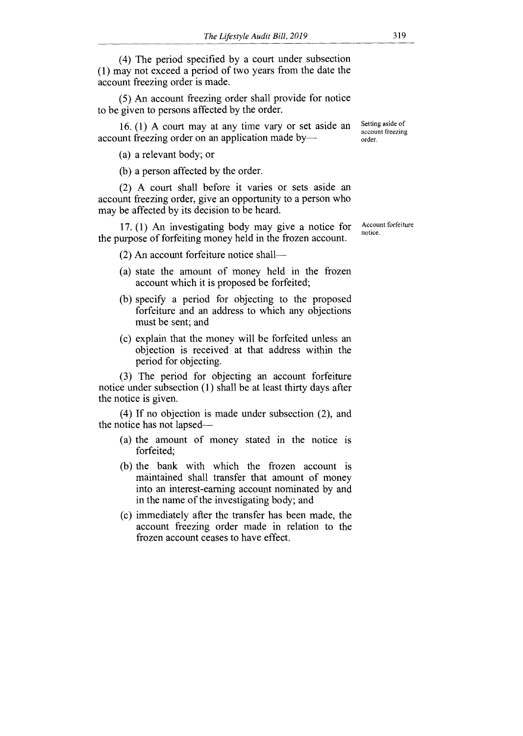(4) The period specified by a court under subsection (1) may not exceed a period of two years from the date the account freezing order is made.

(5) An account freezing order shall provide for notice to be given to persons affected by the order.

16. (1) A court may at any time vary or set aside an account freezing order on an application made by—

(a) a relevant body; or

(b) a person affected by the order.

(2) A court shall before it varies or sets aside an account freezing order, give an opportunity to a person who may be affected by its decision to be heard.

17. (1) An investigating body may give a notice for the purpose of forfeiting money held in the frozen account.

(2) An account forfeiture notice shall—

- (a) state the amount of money held in the frozen account which it is proposed be forfeited;
- (b) specify a period for objecting to the proposed forfeiture and an address to which any objections must be sent; and
- (c) explain that the money will be forfeited unless an objection is received at that address within the period for objecting.

(3) The period for objecting an account forfeiture notice under subsection (1) shall be at least thirty days after the notice is given.

(4) If no objection is made under subsection (2), and the notice has not lapsed—

- (a) the amount of money stated in the notice is forfeited;
- (b) the bank with which the frozen account is maintained shall transfer that amount of money into an interest-earning account nominated by and in the name of the investigating body; and
- (c) immediately after the transfer has been made, the account freezing order made in relation to the frozen account ceases to have effect.

Account forfeiture notice.

Setting aside of account freezing order.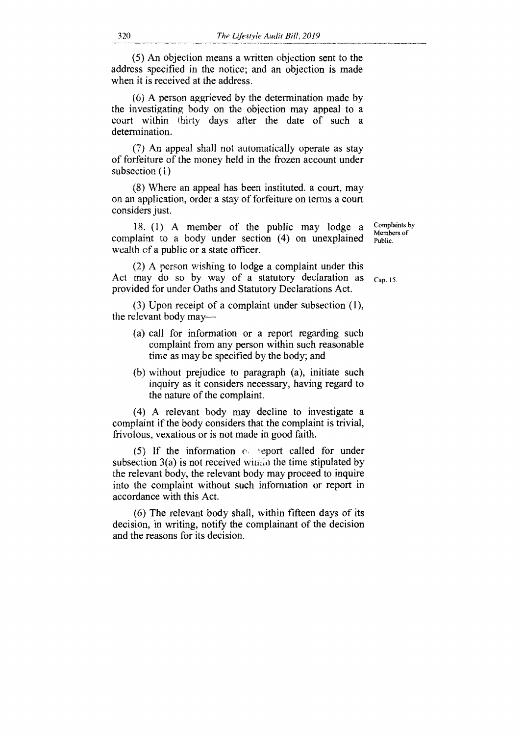(5) An objection means a written objection sent to the address specified in the notice; and an objection is made when it is received at the address.

(6) A person aggrieved by the determination made by the investigating body on the objection may appeal to a court within thirty days after the date of such a determination.

(7) An appeal shall not automatically operate as stay of forfeiture of the money held in the frozen account under subsection (1)

(8) Where an appeal has been instituted. a court, may on an application, order a stay of forfeiture on terms a court considers just.

18. (1) A member of the public may lodge a complaint to a body under section (4) on unexplained wealth of a public or a state officer.

(2) A person wishing to lodge a complaint under this Act may do so by way of a statutory declaration as  $_{Cap. 15.}$ provided for under Oaths and Statutory Declarations Act.

(3) Upon receipt of a complaint under subsection (1), the relevant body may—

- (a) call for information or a report regarding such complaint from any person within such reasonable time as may be specified by the body; and
- (b) without prejudice to paragraph (a), initiate such inquiry as it considers necessary, having regard to the nature of the complaint.

(4) A relevant body may decline to investigate a complaint if the body considers that the complaint is trivial, frivolous, vexatious or is not made in good faith.

(5) If the information  $\infty$  seport called for under subsection  $3(a)$  is not received within the time stipulated by the relevant body, the relevant body may proceed to inquire into the complaint without such information or report in accordance with this Act.

(6) The relevant body shall, within fifteen days of its decision, in writing, notify the complainant of the decision and the reasons for its decision.

Complaints by Members of Public.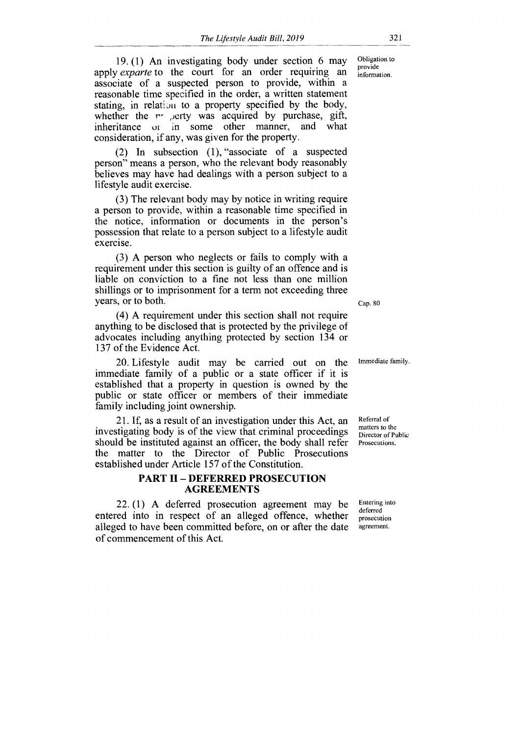19. (1) An investigating body under section 6 may apply *exparte* to the court for an order requiring an associate of a suspected person to provide, within a reasonable time specified in the order, a written statement stating, in relation to a property specified by the body, whether the  $r$ - erty was acquired by purchase, gift, inheritance or in some other manner, and what consideration, if any, was given for the property.

(2) In subsection (1), "associate of a suspected person" means a person, who the relevant body reasonably believes may have had dealings with a person subject to a lifestyle audit exercise.

(3) The relevant body may by notice in writing require a person to provide, within a reasonable time specified in the notice, information or documents in the person's possession that relate to a person subject to a lifestyle audit exercise.

(3) A person who neglects or fails to comply with a requirement under this section is guilty of an offence and is liable on conviction to a fine not less than one million shillings or to imprisonment for a term not exceeding three years, or to both. Cap. 80

(4) A requirement under this section shall not require anything to be disclosed that is protected by the privilege of advocates including anything protected by section 134 or 137 of the Evidence Act.

20. Lifestyle audit may be carried out on the Immediate family. immediate family of a public or a state officer if it is established that a property in question is owned by the public or state officer or members of their immediate family including joint ownership.

investigating body is of the view that criminal proceedings 21. If, as a result of an investigation under this Act, an Referral of should be instituted against an officer, the body shall refer Prosecutions. the matter to the Director of Public Prosecutions established under Article 157 of the Constitution.

#### **PART II — DEFERRED PROSECUTION AGREEMENTS**

22.  $(1)$  A deferred prosecution agreement may be  $\frac{\text{Entering into}}{\text{deferred}}$ entered into in respect of an alleged offence, whether prosecution<br>alleged to have been committed before on or after the date alleged to have been committed before, on or after the date of commencement of this Act.

Obligation to provide information.

matters to the Director of Public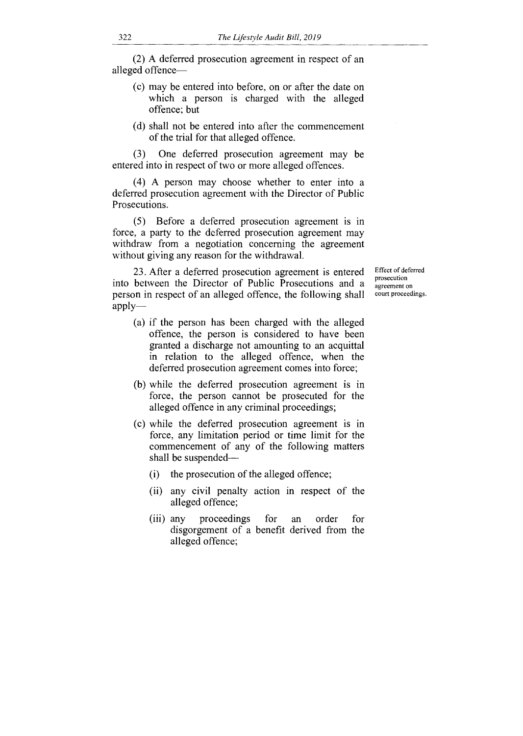(2) A deferred prosecution agreement in respect of an alleged offence—

- (c) may be entered into before, on or after the date on which a person is charged with the alleged offence; but
- (d) shall not be entered into after the commencement of the trial for that alleged offence.

(3) One deferred prosecution agreement may be entered into in respect of two or more alleged offences.

(4) A person may choose whether to enter into a deferred prosecution agreement with the Director of Public Prosecutions.

(5) Before a deferred prosecution agreement is in force, a party to the deferred prosecution agreement may withdraw from a negotiation concerning the agreement without giving any reason for the withdrawal.

23. After a deferred prosecution agreement is entered into between the Director of Public Prosecutions and a person in respect of an alleged offence, the following shall applyEffect of deferred prosecution agreement on court proceedings.

- (a) if the person has been charged with the alleged offence, the person is considered to have been granted a discharge not amounting to an acquittal in relation to the alleged offence, when the deferred prosecution agreement comes into force;
- (b) while the deferred prosecution agreement is in force, the person cannot be prosecuted for the alleged offence in any criminal proceedings;
- (c) while the deferred prosecution agreement is in force, any limitation period or time limit for the commencement of any of the following matters shall be suspended—
	- (i) the prosecution of the alleged offence;
	- (ii) any civil penalty action in respect of the alleged offence;
	- (iii) any proceedings for an order for disgorgement of a benefit derived from the alleged offence;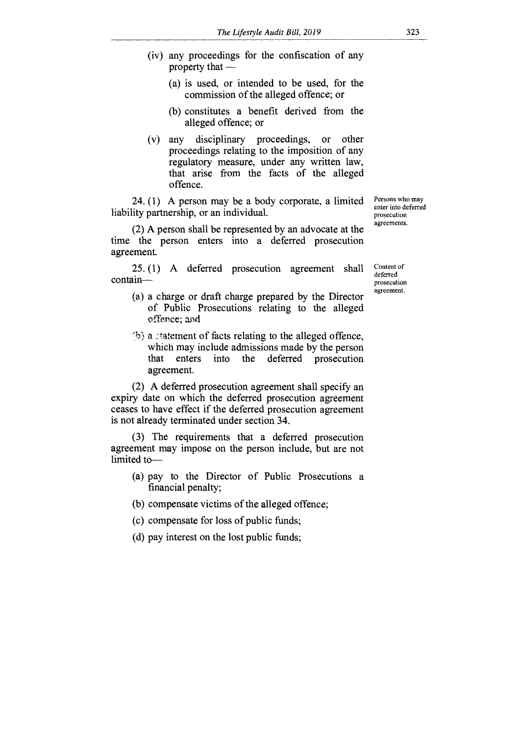- (iv) any proceedings for the confiscation of any property that —
	- (a) is used, or intended to be used, for the commission of the alleged offence; or
	- (b) constitutes a benefit derived from the alleged offence; or
- (v) any disciplinary proceedings, or other proceedings relating to the imposition of any regulatory measure, under any written law, that arise from the facts of the alleged offence.

24. (1) A person may be a body corporate, a limited liability partnership, or an individual.

(2) A person shall be represented by an advocate at the time the person enters into a deferred prosecution agreement.

25. (1) A deferred prosecution agreement shall contain—

- (a) a charge or draft charge prepared by the Director of Public Prosecutions relating to the alleged offence; and
- $\langle b \rangle$  a statement of facts relating to the alleged offence, which may include admissions made by the person that enters into the deferred prosecution agreement.

(2) A deferred prosecution agreement shall specify an expiry date on which the deferred prosecution agreement ceases to have effect if the deferred prosecution agreement is not already terminated under section 34.

(3) The requirements that a deferred prosecution agreement may impose on the person include, but are not limited to—

- (a) pay to the Director of Public Prosecutions a financial penalty;
- (b) compensate victims of the alleged offence;
- (c) compensate for loss of public funds;
- (d) pay interest on the lost public funds;

Persons who may enter into deferred prosecution agreements.

Content of deferred prosecution agreement.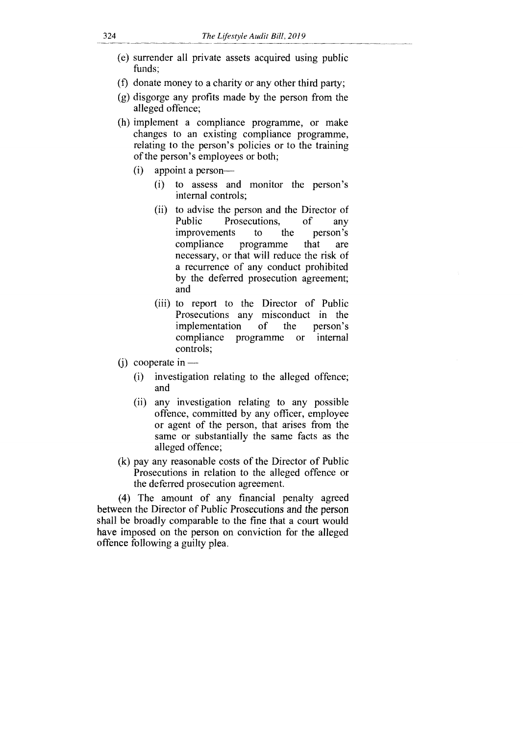- (e) surrender all private assets acquired using public funds;
- (f) donate money to a charity or any other third party;
- (g) disgorge any profits made by the person from the alleged offence;
- (h) implement a compliance programme, or make changes to an existing compliance programme, relating to the person's policies or to the training of the person's employees or both;
	- (i) appoint a person—
		- (i) to assess and monitor the person's internal controls;
		- (ii) to advise the person and the Director of Public Prosecutions, of any improvements to the person's<br>compliance programme that are programme that are necessary, or that will reduce the risk of a recurrence of any conduct prohibited by the deferred prosecution agreement; and
		- (iii) to report to the Director of Public Prosecutions any misconduct in the<br>implementation of the person's implementation of the person's programme or controls;
- (j) cooperate in  $-$ 
	- (i) investigation relating to the alleged offence; and
	- (ii) any investigation relating to any possible offence, committed by any officer, employee or agent of the person, that arises from the same or substantially the same facts as the alleged offence;
- (k) pay any reasonable costs of the Director of Public Prosecutions in relation to the alleged offence or the deferred prosecution agreement.

(4) The amount of any financial penalty agreed between the Director of Public Prosecutions and the person shall be broadly comparable to the fine that a court would have imposed on the person on conviction for the alleged offence following a guilty plea.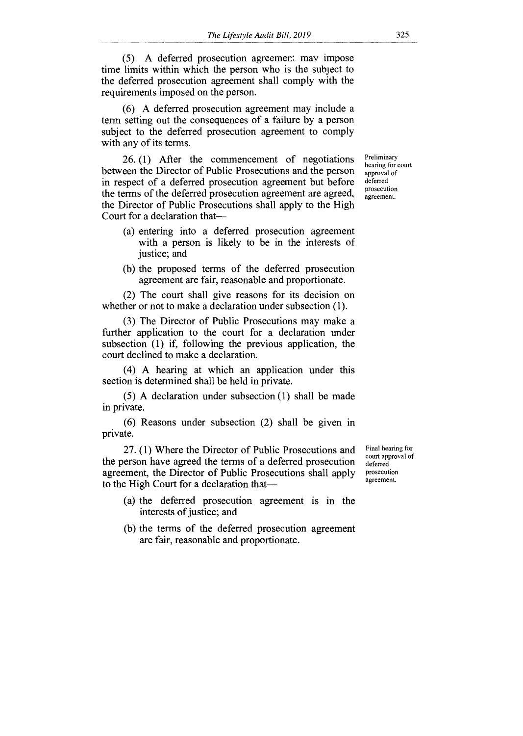(5) A deferred prosecution agreement may impose time limits within which the person who is the subject to the deferred prosecution agreement shall comply with the requirements imposed on the person.

(6) A deferred prosecution agreement may include a term setting out the consequences of a failure by a person subject to the deferred prosecution agreement to comply with any of its terms.

26. (1) After the commencement of negotiations between the Director of Public Prosecutions and the person in respect of a deferred prosecution agreement but before the terms of the deferred prosecution agreement are agreed, the Director of Public Prosecutions shall apply to the High Court for a declaration that—

- (a) entering into a deferred prosecution agreement with a person is likely to be in the interests of justice; and
- (b) the proposed terms of the deferred prosecution agreement are fair, reasonable and proportionate.

(2) The court shall give reasons for its decision on whether or not to make a declaration under subsection (1).

(3) The Director of Public Prosecutions may make a further application to the court for a declaration under subsection (1) if, following the previous application, the court declined to make a declaration.

(4) A hearing at which an application under this section is determined shall be held in private.

(5) A declaration under subsection (1) shall be made in private.

(6) Reasons under subsection (2) shall be given in private.

27. (1) Where the Director of Public Prosecutions and the person have agreed the terms of a deferred prosecution agreement, the Director of Public Prosecutions shall apply to the High Court for a declaration that—

- (a) the deferred prosecution agreement is in the interests of justice; and
- (b) the terms of the deferred prosecution agreement are fair, reasonable and proportionate.

Final hearing for court approval of deferred prosecution agreement.

Preliminary hearing for court approval of deferred prosecution agreement.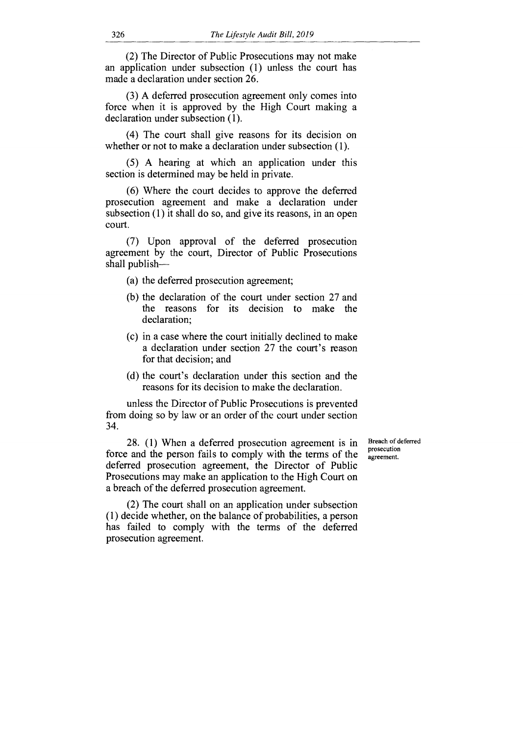(2) The Director of Public Prosecutions may not make an application under subsection (1) unless the court has made a declaration under section 26.

(3) A deferred prosecution agreement only comes into force when it is approved by the High Court making a declaration under subsection (1).

(4) The court shall give reasons for its decision on whether or not to make a declaration under subsection (1).

(5) A hearing at which an application under this section is determined may be held in private.

(6) Where the court decides to approve the deferred prosecution agreement and make a declaration under subsection (1) it shall do so, and give its reasons, in an open court.

(7) Upon approval of the deferred prosecution agreement by the court, Director of Public Prosecutions shall publish—

(a) the deferred prosecution agreement;

- (b) the declaration of the court under section 27 and the reasons for its decision to make the declaration;
- (c) in a case where the court initially declined to make a declaration under section 27 the court's reason for that decision; and
- (d) the court's declaration under this section and the reasons for its decision to make the declaration.

unless the Director of Public Prosecutions is prevented from doing so by law or an order of the court under section 34.

28. (1) When a deferred prosecution agreement is in force and the person fails to comply with the terms of the deferred prosecution agreement, the Director of Public Prosecutions may make an application to the High Court on a breach of the deferred prosecution agreement.

Breach of deferred prosecution agreement.

(2) The court shall on an application under subsection (1) decide whether, on the balance of probabilities, a person has failed to comply with the terms of the deferred prosecution agreement.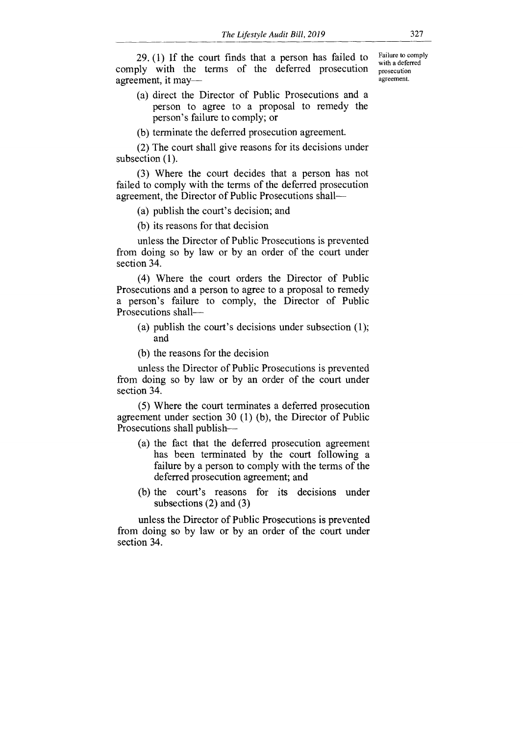29. (1) If the court finds that a person has failed to comply with the terms of the deferred prosecution agreement, it may—

(a) direct the Director of Public Prosecutions and a person to agree to a proposal to remedy the person's failure to comply; or

(b) terminate the deferred prosecution agreement.

(2) The court shall give reasons for its decisions under subsection (1).

(3) Where the court decides that a person has not failed to comply with the terms of the deferred prosecution agreement, the Director of Public Prosecutions shall—

(a) publish the court's decision; and

(b) its reasons for that decision

unless the Director of Public Prosecutions is prevented from doing so by law or by an order of the court under section 34.

(4) Where the court orders the Director of Public Prosecutions and a person to agree to a proposal to remedy a person's failure to comply, the Director of Public Prosecutions shall—

- (a) publish the court's decisions under subsection (1); and
- (b) the reasons for the decision

unless the Director of Public Prosecutions is prevented from doing so by law or by an order of the court under section 34.

(5) Where the court terminates a deferred prosecution agreement under section 30 (1) (b), the Director of Public Prosecutions shall publish—

- (a) the fact that the deferred prosecution agreement has been terminated by the court following a failure by a person to comply with the terms of the deferred prosecution agreement; and
- (b) the court's reasons for its decisions under subsections (2) and (3)

unless the Director of Public Prosecutions is prevented from doing so by law or by an order of the court under section 34.

Failure to comply with a deferred prosecution agreement.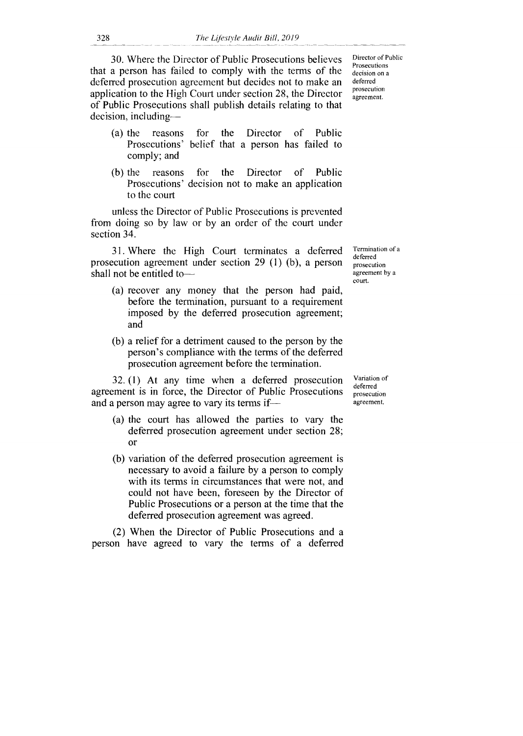30. Where the Director of Public Prosecutions believes that a person has failed to comply with the terms of the deferred prosecution agreement but decides not to make an application to the High Court under section 28, the Director of Public Prosecutions shall publish details relating to that decision, including—

- (a) the reasons for the Director of Public Prosecutions' belief that a person has failed to comply; and
- (b) the reasons for the Director of Public Prosecutions' decision not to make an application to the court

unless the Director of Public Prosecutions is prevented from doing so by law or by an order of the court under section 34.

31. Where the High Court terminates a deferred prosecution agreement under section 29 (1) (b), a person shall not be entitled to—

- (a) recover any money that the person had paid, before the termination, pursuant to a requirement imposed by the deferred prosecution agreement; and
- (b) a relief for a detriment caused to the person by the person's compliance with the terms of the deferred prosecution agreement before the termination.

32. (1) At any time when a deferred prosecution agreement is in force, the Director of Public Prosecutions and a person may agree to vary its terms if—

- (a) the court has allowed the parties to vary the deferred prosecution agreement under section 28; or
- (b) variation of the deferred prosecution agreement is necessary to avoid a failure by a person to comply with its terms in circumstances that were not, and could not have been, foreseen by the Director of Public Prosecutions or a person at the time that the deferred prosecution agreement was agreed.

(2) When the Director of Public Prosecutions and a person have agreed to vary the terms of a deferred

Director of Public Prosecutions decision on a deferred prosecution agreement.

Termination of a deferred prosecution agreement by a court.

Variation of deferred prosecution agreement.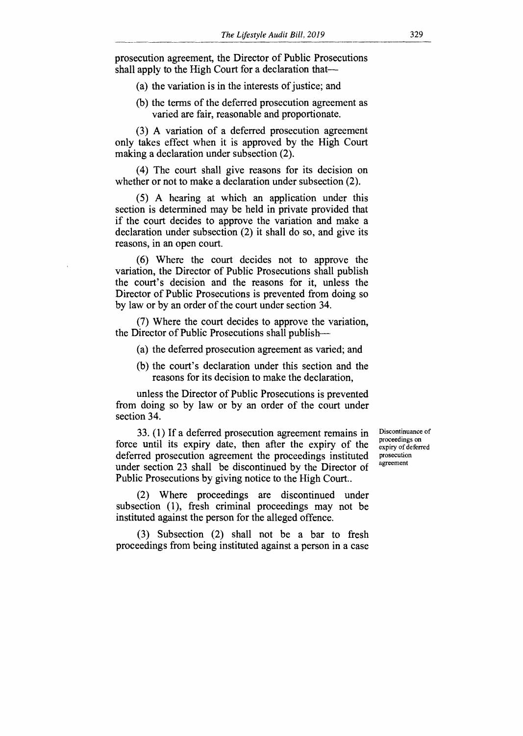prosecution agreement, the Director of Public Prosecutions shall apply to the High Court for a declaration that—

(a) the variation is in the interests of justice; and

(b) the terms of the deferred prosecution agreement as varied are fair, reasonable and proportionate.

(3) A variation of a deferred prosecution agreement only takes effect when it is approved by the High Court making a declaration under subsection (2).

(4) The court shall give reasons for its decision on whether or not to make a declaration under subsection (2).

(5) A hearing at which an application under this section is determined may be held in private provided that if the court decides to approve the variation and make a declaration under subsection (2) it shall do so, and give its reasons, in an open court.

(6) Where the court decides not to approve the variation, the Director of Public Prosecutions shall publish the court's decision and the reasons for it, unless the Director of Public Prosecutions is prevented from doing so by law or by an order of the court under section 34.

(7) Where the court decides to approve the variation, the Director of Public Prosecutions shall publish—

- (a) the deferred prosecution agreement as varied; and
- (b) the court's declaration under this section and the reasons for its decision to make the declaration,

unless the Director of Public Prosecutions is prevented from doing so by law or by an order of the court under section 34.

33. (1) If a deferred prosecution agreement remains in force until its expiry date, then after the expiry of the deferred prosecution agreement the proceedings instituted under section 23 shall be discontinued by the Director of Public Prosecutions by giving notice to the High Court..

Discontinuance of proceedings on expiry of deferred prosecution agreement

(2) Where proceedings are discontinued under subsection (1), fresh criminal proceedings may not be instituted against the person for the alleged offence.

(3) Subsection (2) shall not be a bar to fresh proceedings from being instituted against a person in a case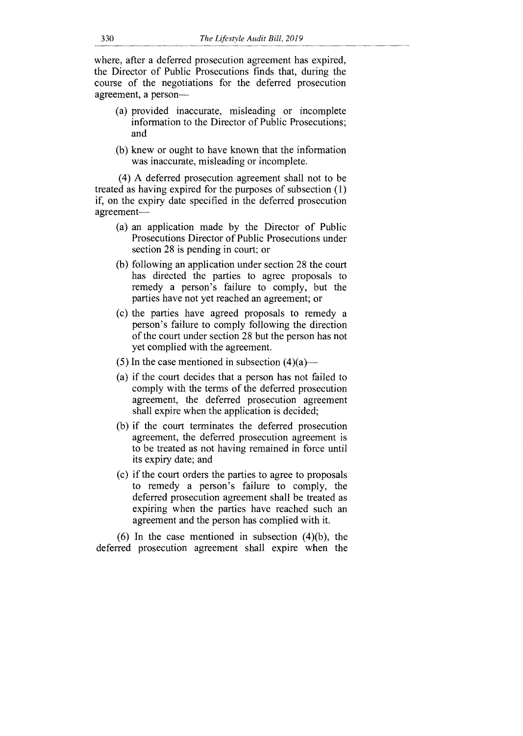where, after a deferred prosecution agreement has expired, the Director of Public Prosecutions finds that, during the course of the negotiations for the deferred prosecution agreement, a person—

- (a) provided inaccurate, misleading or incomplete information to the Director of Public Prosecutions; and
- (b) knew or ought to have known that the information was inaccurate, misleading or incomplete.

(4) A deferred prosecution agreement shall not to be treated as having expired for the purposes of subsection (1) if, on the expiry date specified in the deferred prosecution agreement—

- (a) an application made by the Director of Public Prosecutions Director of Public Prosecutions under section 28 is pending in court; or
- (b) following an application under section 28 the court has directed the parties to agree proposals to remedy a person's failure to comply, but the parties have not yet reached an agreement; or
- (c) the parties have agreed proposals to remedy a person's failure to comply following the direction of the court under section 28 but the person has not yet complied with the agreement.
- (5) In the case mentioned in subsection  $(4)(a)$ —
- (a) if the court decides that a person has not failed to comply with the terms of the deferred prosecution agreement, the deferred prosecution agreement shall expire when the application is decided;
- (b) if the court terminates the deferred prosecution agreement, the deferred prosecution agreement is to be treated as not having remained in force until its expiry date; and
- (c) if the court orders the parties to agree to proposals to remedy a person's failure to comply, the deferred prosecution agreement shall be treated as expiring when the parties have reached such an agreement and the person has complied with it.

(6) In the case mentioned in subsection (4)(b), the deferred prosecution agreement shall expire when the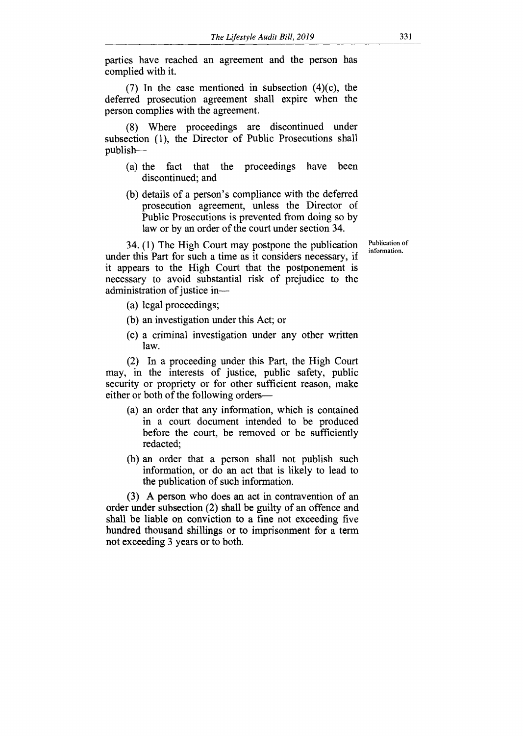parties have reached an agreement and the person has complied with it.

(7) In the case mentioned in subsection  $(4)(c)$ , the deferred prosecution agreement shall expire when the person complies with the agreement.

(8) Where proceedings are discontinued under subsection (1), the Director of Public Prosecutions shall publish—

- (a) the fact that the proceedings have been discontinued; and
- (b) details of a person's compliance with the deferred prosecution agreement, unless the Director of Public Prosecutions is prevented from doing so by law or by an order of the court under section 34.

34. (1) The High Court may postpone the publication under this Part for such a time as it considers necessary, if it appears to the High Court that the postponement is necessary to avoid substantial risk of prejudice to the administration of justice in—

- (a) legal proceedings;
- (b) an investigation under this Act; or
- (c) a criminal investigation under any other written law.

(2) In a proceeding under this Part, the High Court may, in the interests of justice, public safety, public security or propriety or for other sufficient reason, make either or both of the following orders—

- (a) an order that any information, which is contained in a court document intended to be produced before the court, be removed or be sufficiently redacted;
- (b) an order that a person shall not publish such information, or do an act that is likely to lead to the publication of such information.

(3) A person who does an act in contravention of an order under subsection (2) shall be guilty of an offence and shall be liable on conviction to a fine not exceeding five hundred thousand shillings or to imprisonment for a term not exceeding 3 years or to both.

Publication of information.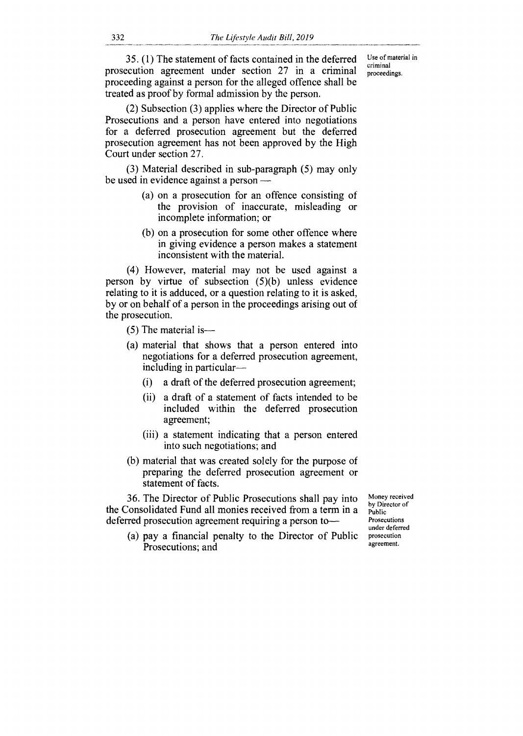35. (1) The statement of facts contained in the deferred prosecution agreement under section 27 in a criminal proceeding against a person for the alleged offence shall be treated as proof by formal admission by the person.

Use of material in criminal proceedings.

(2) Subsection (3) applies where the Director of Public Prosecutions and a person have entered into negotiations for a deferred prosecution agreement but the deferred prosecution agreement has not been approved by the High Court under section 27.

(3) Material described in sub-paragraph (5) may only be used in evidence against a person —

- (a) on a prosecution for an offence consisting of the provision of inaccurate, misleading or incomplete information; or
- (b) on a prosecution for some other offence where in giving evidence a person makes a statement inconsistent with the material.

(4) However, material may not be used against a person by virtue of subsection (5)(b) unless evidence relating to it is adduced, or a question relating to it is asked, by or on behalf of a person in the proceedings arising out of the prosecution.

(5) The material is—

- (a) material that shows that a person entered into negotiations for a deferred prosecution agreement, including in particular—
	- (i) a draft of the deferred prosecution agreement;
	- (ii) a draft of a statement of facts intended to be included within the deferred prosecution agreement;
	- (iii) a statement indicating that a person entered into such negotiations; and
- (b) material that was created solely for the purpose of preparing the deferred prosecution agreement or statement of facts.

36. The Director of Public Prosecutions shall pay into the Consolidated Fund all monies received from a term in a deferred prosecution agreement requiring a person to—

(a) pay a financial penalty to the Director of Public Prosecutions; and

Money received by Director of Public Prosecutions under deferred prosecution agreement.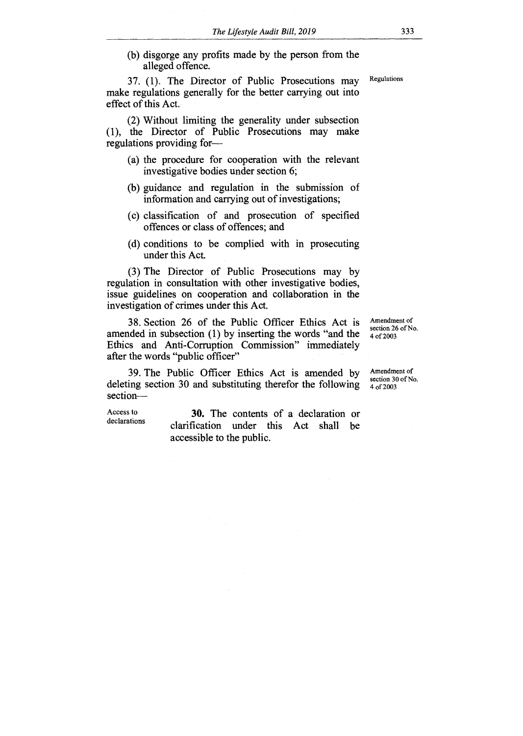(b) disgorge any profits made by the person from the alleged offence.

37. (1). The Director of Public Prosecutions may make regulations generally for the better carrying out into effect of this Act.

(2) Without limiting the generality under subsection (1), the Director of Public Prosecutions may make regulations providing for—

- (a) the procedure for cooperation with the relevant investigative bodies under section 6;
- (b) guidance and regulation in the submission of information and carrying out of investigations;
- (c) classification of and prosecution of specified offences or class of offences; and
- (d) conditions to be complied with in prosecuting under this Act.

(3) The Director of Public Prosecutions may by regulation in consultation with other investigative bodies, issue guidelines on cooperation and collaboration in the investigation of crimes under this Act.

38. Section 26 of the Public Officer Ethics Act is amended in subsection (1) by inserting the words "and the Ethics and Anti-Corruption Commission" immediately after the words "public officer"

Amendment of section 26 of No. 4 of 2003

39. The Public Officer Ethics Act is amended by deleting section 30 and substituting therefor the following section—

Access to **30.** The contents of a declaration or declarations clarification under this Act shall be accessible to the public.

Amendment of section 30 of No. 4 of 2003

Regulations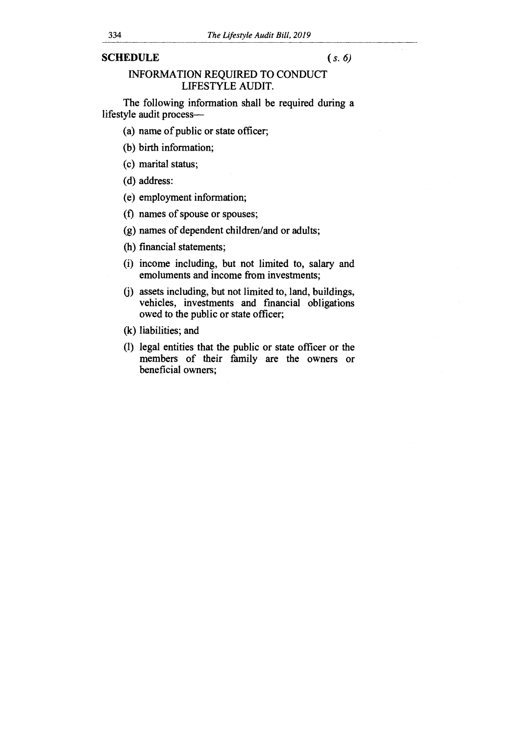#### SCHEDULE (*s. 6)*

### INFORMATION REQUIRED TO CONDUCT LIFESTYLE AUDIT.

The following information shall be required during a lifestyle audit process—

(a) name of public or state officer;

(b) birth information;

(c) marital status;

(d) address:

(e) employment information;

(f) names of spouse or spouses;

(g) names of dependent children/and or adults;

(h) financial statements;

(i) income including, but not limited to, salary and emoluments and income from investments;

0) assets including, but not limited to, land, buildings, vehicles, investments and financial obligations owed to the public or state officer;

(k) liabilities; and

(1) legal entities that the public or state officer or the members of their family are the owners or beneficial owners;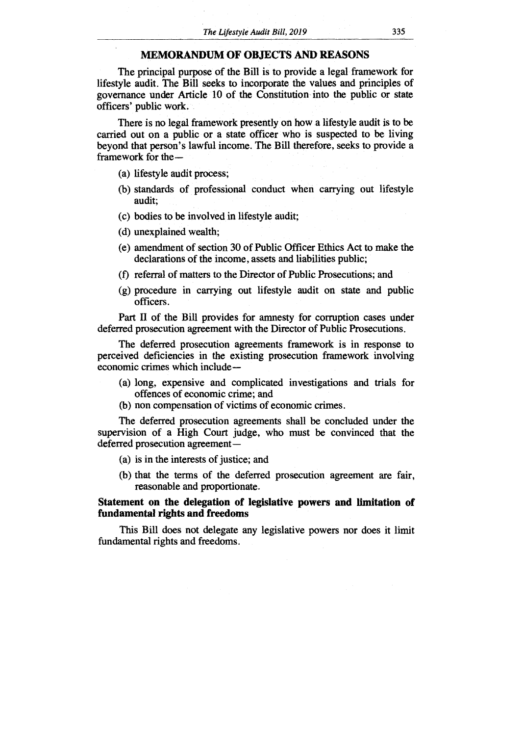#### **MEMORANDUM OF OBJECTS AND REASONS**

The principal purpose of the Bill is to provide a legal framework for lifestyle audit. The Bill seeks to incorporate the values and principles of governance under Article 10 of the Constitution into the public or state officers' public work.

There is no legal framework presently on how a lifestyle audit is to be carried out on a public or a state officer who is suspected to be living beyond that person's lawful income. The Bill therefore, seeks to provide a framework for the—

(a) lifestyle audit process;

- (b) standards of professional conduct when carrying out lifestyle audit;
- (c) bodies to be involved in lifestyle audit;
- (d) unexplained wealth;
- (e) amendment of section 30 of Public Officer Ethics Act to make the declarations of the income, assets and liabilities public;
- (f) referral of matters to the Director of Public Prosecutions; and
- (g) procedure in carrying out lifestyle audit on state and public officers.

Part **II** of the Bill provides for amnesty for corruption cases under deferred prosecution agreement with the Director of Public Prosecutions.

The deferred prosecution agreements framework is in response to perceived deficiencies in the existing prosecution framework involving economic crimes which include —

- (a) long, expensive and complicated investigations and trials for offences of economic crime; and
- (b) non compensation of victims of economic crimes.

The deferred prosecution agreements shall be concluded under the supervision of a High Court judge, who must be convinced that the deferred prosecution agreement —

- (a) is in the interests of justice; and
- (b) that the terms of the deferred prosecution agreement are fair, reasonable and proportionate.

#### **Statement on the delegation of legislative powers and limitation of fundamental rights and freedoms**

This Bill does not delegate any legislative powers nor does it limit fundamental rights and freedoms.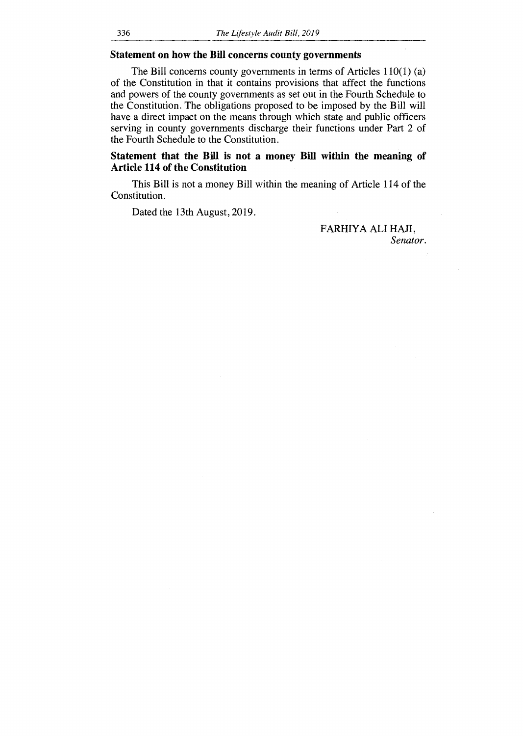#### **Statement on how the Bill concerns county governments**

The Bill concerns county governments in terms of Articles 110(1) (a) of the Constitution in that it contains provisions that affect the functions and powers of the county governments as set out in the Fourth Schedule to the Constitution. The obligations proposed to be imposed by the Bill will have a direct impact on the means through which state and public officers serving in county governments discharge their functions under Part 2 of the Fourth Schedule to the Constitution.

#### **Statement that the Bill is not a money Bill within the meaning of Article 114 of the Constitution**

This Bill is not a money Bill within the meaning of Article 114 of the Constitution.

Dated the 13th August, 2019.

FARHIYA ALI HAJI, *Senator.*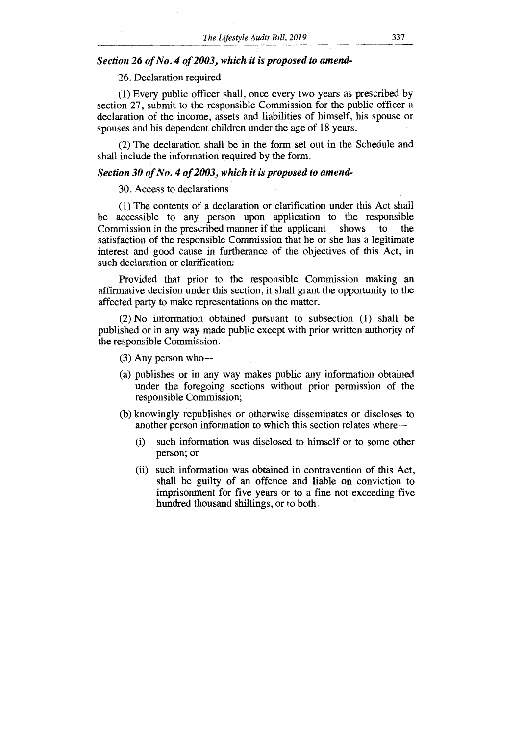#### *Section 26 of No. 4 of 2003, which it is proposed to amend-*

#### 26. Declaration required

(1) Every public officer shall, once every two years as prescribed by section 27, submit to the responsible Commission for the public officer a declaration of the income, assets and liabilities of himself, his spouse or spouses and his dependent children under the age of 18 years.

(2) The declaration shall be in the form set out in the Schedule and shall include the information required by the form.

#### *Section 30 of No. 4 of 2003, which it is proposed to amend-*

#### 30. Access to declarations

(1) The contents of a declaration or clarification under this Act shall be accessible to any person upon application to the responsible Commission in the prescribed manner if the applicant shows to satisfaction of the responsible Commission that he or she has a legitimate interest and good cause in furtherance of the objectives of this Act, in such declaration or clarification:

Provided that prior to the responsible Commission making an affirmative decision under this section, it shall grant the opportunity to the affected party to make representations on the matter.

(2) No information obtained pursuant to subsection (1) shall be published or in any way made public except with prior written authority of the responsible Commission.

 $(3)$  Any person who-

- (a) publishes or in any way makes public any information obtained under the foregoing sections without prior permission of the responsible Commission;
- (b) knowingly republishes or otherwise disseminates or discloses to another person information to which this section relates where
	- (i) such information was disclosed to himself or to some other person; or
	- (ii) such information was obtained in contravention of this Act, shall be guilty of an offence and liable on conviction to imprisonment for five years or to a fine not exceeding five hundred thousand shillings, or to both.